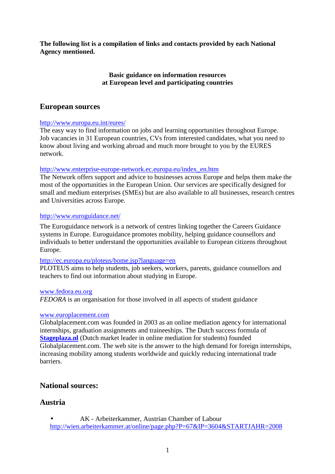**The following list is a compilation of links and contacts provided by each National Agency mentioned.** 

## **Basic guidance on information resources at European level and participating countries**

# **European sources**

## http://www.europa.eu.int/eures/

The easy way to find information on jobs and learning opportunities throughout Europe. Job vacancies in 31 European countries, CVs from interested candidates, what you need to know about living and working abroad and much more brought to you by the EURES network.

# http://www.enterprise-europe-network.ec.europa.eu/index\_en.htm

The Network offers support and advice to businesses across Europe and helps them make the most of the opportunities in the European Union. Our services are specifically designed for small and medium enterprises (SMEs) but are also available to all businesses, research centres and Universities across Europe.

## http://www.euroguidance.net/

The Euroguidance network is a network of centres linking together the Careers Guidance systems in Europe. Euroguidance promotes mobility, helping guidance counsellors and individuals to better understand the opportunities available to European citizens throughout Europe.

## http://ec.europa.eu/ploteus/home.jsp?language=en

PLOTEUS aims to help students, job seekers, workers, parents, guidance counsellors and teachers to find out information about studying in Europe.

## www.fedora.eu.org

*FEDORA* is an organisation for those involved in all aspects of student guidance

## www.europlacement.com

Globalplacement.com was founded in 2003 as an online mediation agency for international internships, graduation assignments and traineeships. The Dutch success formula of **Stageplaza.nl** (Dutch market leader in online mediation for students) founded Globalplacement.com. The web site is the answer to the high demand for foreign internships, increasing mobility among students worldwide and quickly reducing international trade barriers.

# **National sources:**

# **Austria**

• AK - Arbeiterkammer, Austrian Chamber of Labour http://wien.arbeiterkammer.at/online/page.php?P=67&IP=3604&STARTJAHR=2008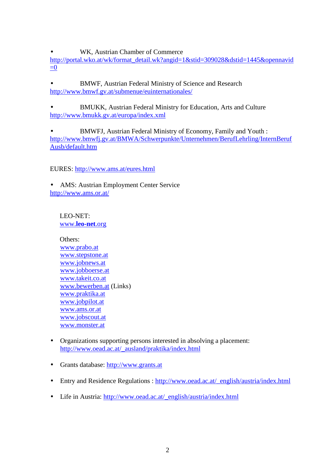WK, Austrian Chamber of Commerce

http://portal.wko.at/wk/format\_detail.wk?angid=1&stid=309028&dstid=1445&opennavid  $=0$ 

• BMWF, Austrian Federal Ministry of Science and Research http://www.bmwf.gv.at/submenue/euinternationales/

• BMUKK, Austrian Federal Ministry for Education, Arts and Culture http://www.bmukk.gv.at/europa/index.xml

• BMWFJ, Austrian Federal Ministry of Economy, Family and Youth : http://www.bmwfj.gv.at/BMWA/Schwerpunkte/Unternehmen/BerufLehrling/InternBeruf Ausb/default.htm

EURES: http://www.ams.at/eures.html

• AMS: Austrian Employment Center Service http://www.ams.or.at/

LEO-NET: www.**leo-net**.org

- Others: www.prabo.at www.stepstone.at www.jobnews.at www.jobboerse.at www.takeit.co.at www.bewerben.at (Links) www.praktika.at www.jobpilot.at www.ams.or.at www.jobscout.at www.monster.at
- Organizations supporting persons interested in absolving a placement: http://www.oead.ac.at/\_ausland/praktika/index.html
- Grants database: http://www.grants.at
- Entry and Residence Regulations : http://www.oead.ac.at/\_english/austria/index.html
- Life in Austria: http://www.oead.ac.at/\_english/austria/index.html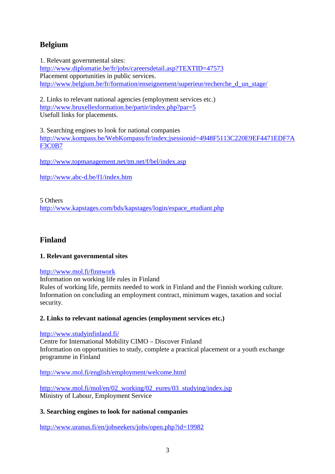# **Belgium**

1. Relevant governmental sites: http://www.diplomatie.be/fr/jobs/careersdetail.asp?TEXTID=47573 Placement opportunities in public services. http://www.belgium.be/fr/formation/enseignement/superieur/recherche\_d\_un\_stage/

2. Links to relevant national agencies (employment services etc.) http://www.bruxellesformation.be/partir/index.php?par=5 Usefull links for placements.

3. Searching engines to look for national companies http://www.kompass.be/WebKompass/fr/index;jsessionid=4948F5113C220E9EF4471EDF7A F3C0B7

http://www.topmanagement.net/tm.net/f/bel/index.asp

http://www.abc-d.be/f1/index.htm

5 Others http://www.kapstages.com/bds/kapstages/login/espace\_etudiant.php

# **Finland**

# **1. Relevant governmental sites**

# http://www.mol.fi/finnwork

Information on working life rules in Finland

Rules of working life, permits needed to work in Finland and the Finnish working culture. Information on concluding an employment contract, minimum wages, taxation and social security.

# **2. Links to relevant national agencies (employment services etc.)**

# http://www.studyinfinland.fi/

Centre for International Mobility CIMO – Discover Finland Information on opportunities to study, complete a practical placement or a youth exchange programme in Finland

http://www.mol.fi/english/employment/welcome.html

http://www.mol.fi/mol/en/02\_working/02\_eures/03\_studying/index.jsp Ministry of Labour, Employment Service

# **3. Searching engines to look for national companies**

http://www.uranus.fi/en/jobseekers/jobs/open.php?id=19982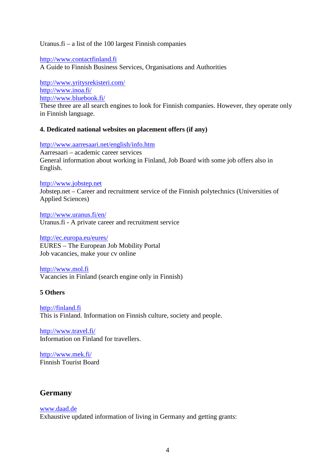## Uranus.fi – a list of the 100 largest Finnish companies

http://www.contactfinland.fi A Guide to Finnish Business Services, Organisations and Authorities

http://www.yritysrekisteri.com/ http://www.inoa.fi/ http://www.bluebook.fi/ These three are all search engines to look for Finnish companies. However, they operate only in Finnish language.

## **4. Dedicated national websites on placement offers (if any)**

http://www.aarresaari.net/english/info.htm

Aarresaari – academic career services General information about working in Finland, Job Board with some job offers also in English.

### http://www.jobstep.net

Jobstep.net – Career and recruitment service of the Finnish polytechnics (Universities of Applied Sciences)

http://www.uranus.fi/en/ Uranus.fi - A private career and recruitment service

#### http://ec.europa.eu/eures/

EURES – The European Job Mobility Portal Job vacancies, make your cv online

#### http://www.mol.fi

Vacancies in Finland (search engine only in Finnish)

## **5 Others**

http://finland.fi This is Finland. Information on Finnish culture, society and people.

http://www.travel.fi/ Information on Finland for travellers.

http://www.mek.fi/ Finnish Tourist Board

# **Germany**

#### www.daad.de

Exhaustive updated information of living in Germany and getting grants: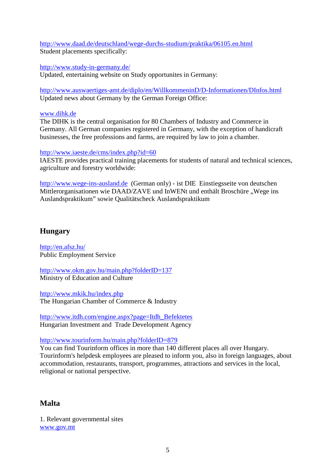http://www.daad.de/deutschland/wege-durchs-studium/praktika/06105.en.html Student placements specifically:

http://www.study-in-germany.de/

Updated, entertaining website on Study opportunites in Germany:

http://www.auswaertiges-amt.de/diplo/en/WillkommeninD/D-Informationen/DInfos.html Updated news about Germany by the German Foreign Office:

## www.dihk.de

The DIHK is the central organisation for 80 Chambers of Industry and Commerce in Germany. All German companies registered in Germany, with the exception of handicraft businesses, the free professions and farms, are required by law to join a chamber.

## http://www.iaeste.de/cms/index.php?id=60

IAESTE provides practical training placements for students of natural and technical sciences, agriculture and forestry worldwide:

http://www.wege-ins-ausland.de (German only) - ist DIE Einstiegsseite von deutschen Mittlerorganisationen wie DAAD/ZAVE und InWENt und enthält Broschüre "Wege ins Auslandspraktikum" sowie Qualitätscheck Auslandspraktikum

# **Hungary**

http://en.afsz.hu/ Public Employment Service

http://www.okm.gov.hu/main.php?folderID=137 Ministry of Education and Culture

http://www.mkik.hu/index.php The Hungarian Chamber of Commerce & Industry

http://www.itdh.com/engine.aspx?page=Itdh\_Befektetes Hungarian Investment and Trade Development Agency

http://www.tourinform.hu/main.php?folderID=879

You can find Tourinform offices in more than 140 different places all over Hungary. Tourinform's helpdesk employees are pleased to inform you, also in foreign languages, about accommodation, restaurants, transport, programmes, attractions and services in the local, religional or national perspective.

# **Malta**

1. Relevant governmental sites www.gov.mt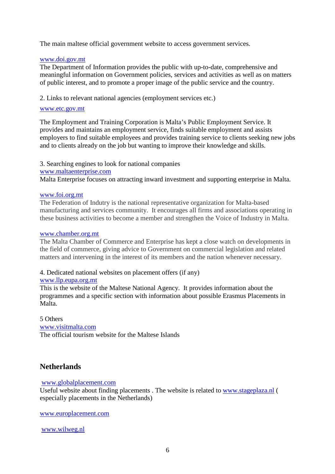The main maltese official government website to access government services.

### www.doi.gov.mt

The Department of Information provides the public with up-to-date, comprehensive and meaningful information on Government policies, services and activities as well as on matters of public interest, and to promote a proper image of the public service and the country.

2. Links to relevant national agencies (employment services etc.)

#### www.etc.gov.mt

The Employment and Training Corporation is Malta's Public Employment Service. It provides and maintains an employment service, finds suitable employment and assists employers to find suitable employees and provides training service to clients seeking new jobs and to clients already on the job but wanting to improve their knowledge and skills.

3. Searching engines to look for national companies www.maltaenterprise.com Malta Enterprise focuses on attracting inward investment and supporting enterprise in Malta.

#### www.foi.org.mt

The Federation of Indutry is the national representative organization for Malta-based manufacturing and services community. It encourages all firms and associations operating in these business activities to become a member and strengthen the Voice of Industry in Malta.

### www.chamber.org.mt

The Malta Chamber of Commerce and Enterprise has kept a close watch on developments in the field of commerce, giving advice to Government on commercial legislation and related matters and intervening in the interest of its members and the nation whenever necessary.

## 4. Dedicated national websites on placement offers (if any)

## www.llp.eupa.org.mt

This is the website of the Maltese National Agency. It provides information about the programmes and a specific section with information about possible Erasmus Placements in Malta.

5 Others www.visitmalta.com The official tourism website for the Maltese Islands

# **Netherlands**

## www.globalplacement.com

Useful website about finding placements . The website is related to www.stageplaza.nl ( especially placements in the Netherlands)

www.europlacement.com

www.wilweg.nl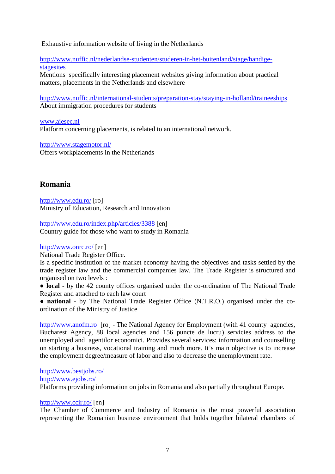Exhaustive information website of living in the Netherlands

http://www.nuffic.nl/nederlandse-studenten/studeren-in-het-buitenland/stage/handigestagesites

Mentions specifically interesting placement websites giving information about practical matters, placements in the Netherlands and elsewhere

http://www.nuffic.nl/international-students/preparation-stay/staying-in-holland/traineeships About immigration procedures for students

www.aiesec.nl Platform concerning placements, is related to an international network.

http://www.stagemotor.nl/ Offers workplacements in the Netherlands

# **Romania**

http://www.edu.ro/ [ro] Ministry of Education, Research and Innovation

http://www.edu.ro/index.php/articles/3388 [en] Country guide for those who want to study in Romania

## http://www.onrc.ro/ [en]

National Trade Register Office.

Is a specific institution of the market economy having the objectives and tasks settled by the trade register law and the commercial companies law. The Trade Register is structured and organised on two levels :

• **local** - by the 42 county offices organised under the co-ordination of The National Trade Register and attached to each law court

● **national** - by The National Trade Register Office (N.T.R.O.) organised under the coordination of the Ministry of Justice

http://www.anofm.ro [ro] - The National Agency for Employment (with 41 county agencies, Bucharest Agency, 88 local agencies and 156 puncte de lucru) servicies address to the unemployed and agentilor economici. Provides several services: information and counselling on starting a business, vocational training and much more. It's main objective is to increase the employment degree/measure of labor and also to decrease the unemployment rate.

#### http://www.bestjobs.ro/ http://www.ejobs.ro/

Platforms providing information on jobs in Romania and also partially throughout Europe.

## http://www.ccir.ro/ [en]

The Chamber of Commerce and Industry of Romania is the most powerful association representing the Romanian business environment that holds together bilateral chambers of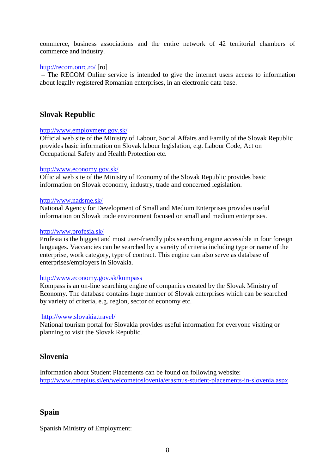commerce, business associations and the entire network of 42 territorial chambers of commerce and industry.

### http://recom.onrc.ro/ [ro]

 – The RECOM Online service is intended to give the internet users access to information about legally registered Romanian enterprises, in an electronic data base.

# **Slovak Republic**

### http://www.employment.gov.sk/

Official web site of the Ministry of Labour, Social Affairs and Family of the Slovak Republic provides basic information on Slovak labour legislation, e.g. Labour Code, Act on Occupational Safety and Health Protection etc.

### http://www.economy.gov.sk/

Official web site of the Ministry of Economy of the Slovak Republic provides basic information on Slovak economy, industry, trade and concerned legislation.

#### http://www.nadsme.sk/

National Agency for Development of Small and Medium Enterprises provides useful information on Slovak trade environment focused on small and medium enterprises.

### http://www.profesia.sk/

Profesia is the biggest and most user-friendly jobs searching engine accessible in four foreign languages. Vaccancies can be searched by a vareity of criteria including type or name of the enterprise, work category, type of contract. This engine can also serve as database of enterprises/employers in Slovakia.

## http://www.economy.gov.sk/kompass

Kompass is an on-line searching engine of companies created by the Slovak Ministry of Economy. The database contains huge number of Slovak enterprises which can be searched by variety of criteria, e.g. region, sector of economy etc.

#### http://www.slovakia.travel/

National tourism portal for Slovakia provides useful information for everyone visiting or planning to visit the Slovak Republic.

# **Slovenia**

Information about Student Placements can be found on following website: http://www.cmepius.si/en/welcometoslovenia/erasmus-student-placements-in-slovenia.aspx

# **Spain**

Spanish Ministry of Employment: